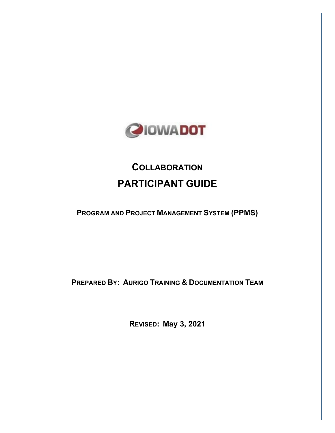

# **COLLABORATION PARTICIPANT GUIDE**

**PROGRAM AND PROJECT MANAGEMENT SYSTEM (PPMS)**

**PREPARED BY: AURIGO TRAINING & DOCUMENTATION TEAM**

**REVISED: May 3, 2021**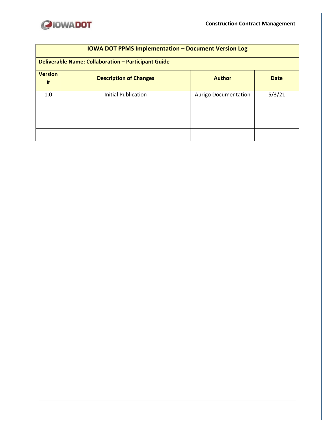

| <b>IOWA DOT PPMS Implementation - Document Version Log</b> |                                                               |                             |        |  |  |  |  |
|------------------------------------------------------------|---------------------------------------------------------------|-----------------------------|--------|--|--|--|--|
|                                                            | <b>Deliverable Name: Collaboration - Participant Guide</b>    |                             |        |  |  |  |  |
| <b>Version</b><br>#                                        | <b>Description of Changes</b><br><b>Author</b><br><b>Date</b> |                             |        |  |  |  |  |
| 1.0                                                        | <b>Initial Publication</b>                                    | <b>Aurigo Documentation</b> | 5/3/21 |  |  |  |  |
|                                                            |                                                               |                             |        |  |  |  |  |
|                                                            |                                                               |                             |        |  |  |  |  |
|                                                            |                                                               |                             |        |  |  |  |  |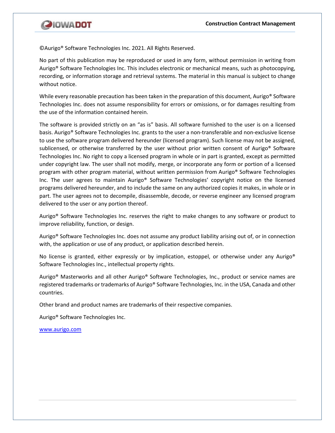

©Aurigo® Software Technologies Inc. 2021. All Rights Reserved.

No part of this publication may be reproduced or used in any form, without permission in writing from Aurigo® Software Technologies Inc. This includes electronic or mechanical means, such as photocopying, recording, or information storage and retrieval systems. The material in this manual is subject to change without notice.

While every reasonable precaution has been taken in the preparation of this document, Aurigo® Software Technologies Inc. does not assume responsibility for errors or omissions, or for damages resulting from the use of the information contained herein.

The software is provided strictly on an "as is" basis. All software furnished to the user is on a licensed basis. Aurigo® Software Technologies Inc. grants to the user a non-transferable and non-exclusive license to use the software program delivered hereunder (licensed program). Such license may not be assigned, sublicensed, or otherwise transferred by the user without prior written consent of Aurigo® Software Technologies Inc. No right to copy a licensed program in whole or in part is granted, except as permitted under copyright law. The user shall not modify, merge, or incorporate any form or portion of a licensed program with other program material, without written permission from Aurigo® Software Technologies Inc. The user agrees to maintain Aurigo® Software Technologies' copyright notice on the licensed programs delivered hereunder, and to include the same on any authorized copies it makes, in whole or in part. The user agrees not to decompile, disassemble, decode, or reverse engineer any licensed program delivered to the user or any portion thereof.

Aurigo® Software Technologies Inc. reserves the right to make changes to any software or product to improve reliability, function, or design.

Aurigo® Software Technologies Inc. does not assume any product liability arising out of, or in connection with, the application or use of any product, or application described herein.

No license is granted, either expressly or by implication, estoppel, or otherwise under any Aurigo<sup>®</sup> Software Technologies Inc., intellectual property rights.

Aurigo® Masterworks and all other Aurigo® Software Technologies, Inc., product or service names are registered trademarks or trademarks of Aurigo® Software Technologies, Inc. in the USA, Canada and other countries.

Other brand and product names are trademarks of their respective companies.

Aurigo® Software Technologies Inc.

[www.aurigo.com](http://www.aurigo.com/)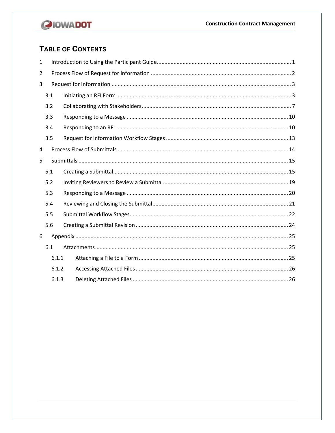

## TABLE OF CONTENTS

| 1     |       |  |  |  |  |
|-------|-------|--|--|--|--|
| 2     |       |  |  |  |  |
| 3     |       |  |  |  |  |
|       | 3.1   |  |  |  |  |
|       | 3.2   |  |  |  |  |
|       | 3.3   |  |  |  |  |
|       | 3.4   |  |  |  |  |
|       | 3.5   |  |  |  |  |
| 4     |       |  |  |  |  |
| 5     |       |  |  |  |  |
|       | 5.1   |  |  |  |  |
|       | 5.2   |  |  |  |  |
|       | 5.3   |  |  |  |  |
|       | 5.4   |  |  |  |  |
|       | 5.5   |  |  |  |  |
|       | 5.6   |  |  |  |  |
| 6     |       |  |  |  |  |
|       | 6.1   |  |  |  |  |
|       | 6.1.1 |  |  |  |  |
|       | 6.1.2 |  |  |  |  |
| 6.1.3 |       |  |  |  |  |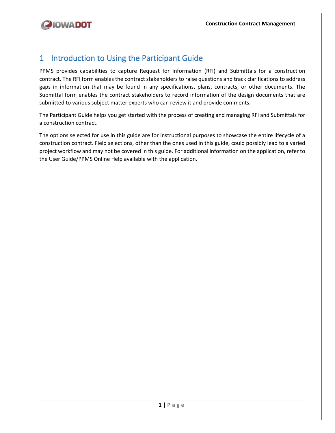

## <span id="page-4-0"></span>1 Introduction to Using the Participant Guide

PPMS provides capabilities to capture Request for Information (RFI) and Submittals for a construction contract. The RFI form enables the contract stakeholders to raise questions and track clarifications to address gaps in information that may be found in any specifications, plans, contracts, or other documents. The Submittal form enables the contract stakeholders to record information of the design documents that are submitted to various subject matter experts who can review it and provide comments.

The Participant Guide helps you get started with the process of creating and managing RFI and Submittals for a construction contract.

The options selected for use in this guide are for instructional purposes to showcase the entire lifecycle of a construction contract. Field selections, other than the ones used in this guide, could possibly lead to a varied project workflow and may not be covered in this guide. For additional information on the application, refer to the User Guide/PPMS Online Help available with the application.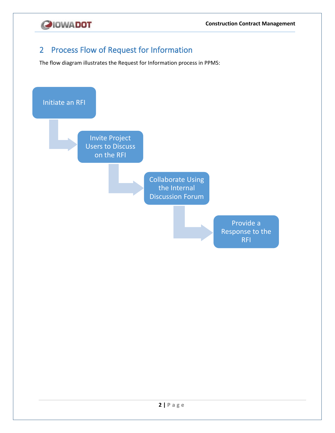

## <span id="page-5-0"></span>2 Process Flow of Request for Information

The flow diagram illustrates the Request for Information process in PPMS:

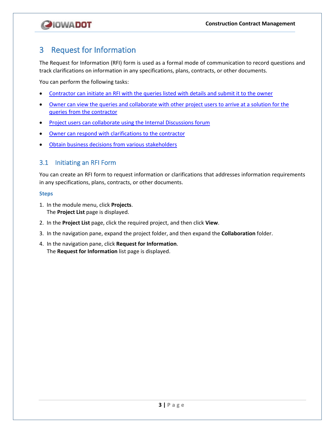

## <span id="page-6-0"></span>3 Request for Information

The Request for Information (RFI) form is used as a formal mode of communication to record questions and track clarifications on information in any specifications, plans, contracts, or other documents.

You can perform the following tasks:

- [Contractor can initiate an RFI with the queries listed with details and submit it to the owner](#page-6-1)
- Owner can view the queries and collaborate with other project users to arrive at a solution for the [queries from the contractor](#page-10-0)
- Project users can collaborate [using the Internal Discussions forum](#page-13-0)
- [Owner can respond with clarifications to the contractor](#page-13-1)
- [Obtain business decisions from various stakeholders](#page-16-0)

## <span id="page-6-1"></span>3.1 Initiating an RFI Form

You can create an RFI form to request information or clarifications that addresses information requirements in any specifications, plans, contracts, or other documents.

- 1. In the module menu, click **Projects**. The **Project List** page is displayed.
- 2. In the **Project List** page, click the required project, and then click **View**.
- 3. In the navigation pane, expand the project folder, and then expand the **Collaboration** folder.
- 4. In the navigation pane, click **Request for Information**. The **Request for Information** list page is displayed.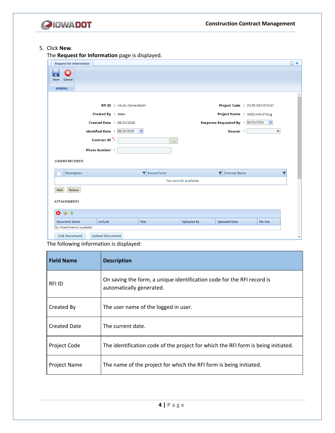

## 5. Click **New**.

The **Request for Information** page is displayed.

| <b>Request for Information</b>                 |                                         |              |                       |                      |                                                    | ☆▲                       |
|------------------------------------------------|-----------------------------------------|--------------|-----------------------|----------------------|----------------------------------------------------|--------------------------|
| $\overline{\mathbf{x}}$<br>Save<br>Cancel      |                                         |              |                       |                      |                                                    |                          |
| <b>GENERAL</b>                                 |                                         |              |                       |                      |                                                    |                          |
|                                                |                                         |              |                       |                      |                                                    |                          |
|                                                | <b>RFI ID : &lt; Auto Generated&gt;</b> |              |                       |                      | Project Code : 20-85-062-010-01                    |                          |
| Created By : Miller                            |                                         |              |                       |                      | Project Name : MSD-HW-07Aug                        |                          |
|                                                | <b>Created Date : 08/25/2020</b>        |              |                       |                      | Response Requested By : 08/25/2020<br>$\checkmark$ |                          |
| Identified Date : 08/25/2020                   | $\checkmark$                            |              |                       | Reason:              | $\checkmark$                                       |                          |
| Contract ID <sup>*</sup> :                     |                                         | $\mathbf{m}$ |                       |                      |                                                    |                          |
| <b>Phase Number:</b>                           |                                         |              |                       |                      |                                                    |                          |
| <b>LINKED RECORDS</b>                          |                                         |              |                       |                      |                                                    |                          |
| <b>Description</b>                             |                                         | Source Form  | Y                     | <b>Contract Name</b> |                                                    |                          |
|                                                |                                         |              | No records available. |                      |                                                    |                          |
| Delete<br>Add                                  |                                         |              |                       |                      |                                                    |                          |
| <b>ATTACHMENTS</b>                             |                                         |              |                       |                      |                                                    |                          |
| $\bullet\bullet\bullet$                        |                                         |              |                       |                      |                                                    |                          |
| <b>Document Name</b><br>Url/Link               | <b>Title</b>                            |              | <b>Uploaded By</b>    | <b>Uploaded Date</b> | <b>File Size</b>                                   |                          |
| No Attachments available                       |                                         |              |                       |                      |                                                    |                          |
| <b>Link Document</b><br><b>Upload Document</b> |                                         |              |                       |                      |                                                    | $\overline{\phantom{a}}$ |

The following information is displayed:

| <b>Field Name</b>   | <b>Description</b>                                                                                 |
|---------------------|----------------------------------------------------------------------------------------------------|
| RFI ID              | On saving the form, a unique identification code for the RFI record is<br>automatically generated. |
| Created By          | The user name of the logged in user.                                                               |
| <b>Created Date</b> | The current date.                                                                                  |
| Project Code        | The identification code of the project for which the RFI form is being initiated.                  |
| Project Name        | The name of the project for which the RFI form is being initiated.                                 |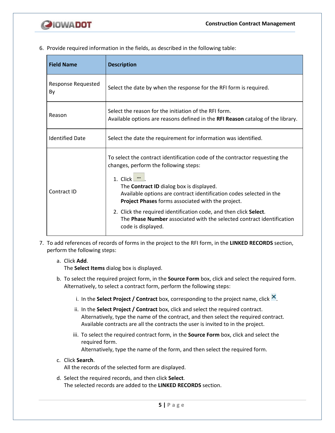

6. Provide required information in the fields, as described in the following table:

| <b>Field Name</b>        | <b>Description</b>                                                                                                                                                                                                                                                                                                                                                                                                                                                                                        |  |  |  |
|--------------------------|-----------------------------------------------------------------------------------------------------------------------------------------------------------------------------------------------------------------------------------------------------------------------------------------------------------------------------------------------------------------------------------------------------------------------------------------------------------------------------------------------------------|--|--|--|
| Response Requested<br>By | Select the date by when the response for the RFI form is required.                                                                                                                                                                                                                                                                                                                                                                                                                                        |  |  |  |
| Reason                   | Select the reason for the initiation of the RFI form.<br>Available options are reasons defined in the RFI Reason catalog of the library.                                                                                                                                                                                                                                                                                                                                                                  |  |  |  |
| <b>Identified Date</b>   | Select the date the requirement for information was identified.                                                                                                                                                                                                                                                                                                                                                                                                                                           |  |  |  |
| Contract ID              | To select the contract identification code of the contractor requesting the<br>changes, perform the following steps:<br>1. Click $\blacksquare$<br>The <b>Contract ID</b> dialog box is displayed.<br>Available options are contract identification codes selected in the<br><b>Project Phases</b> forms associated with the project.<br>2. Click the required identification code, and then click Select.<br>The Phase Number associated with the selected contract identification<br>code is displayed. |  |  |  |

7. To add references of records of forms in the project to the RFI form, in the **LINKED RECORDS** section, perform the following steps:

## a. Click **Add**.

The **Select Items** dialog box is displayed.

- b. To select the required project form, in the **Source Form** box, click and select the required form. Alternatively, to select a contract form, perform the following steps:
	- i. In the **Select Project / Contract** box, corresponding to the project name, click  $\mathbf{X}$ .
	- ii. In the **Select Project / Contract** box, click and select the required contract. Alternatively, type the name of the contract, and then select the required contract. Available contracts are all the contracts the user is invited to in the project.
	- iii. To select the required contract form, in the **Source Form** box, click and select the required form.

Alternatively, type the name of the form, and then select the required form.

c. Click **Search**.

All the records of the selected form are displayed.

d. Select the required records, and then click **Select**. The selected records are added to the **LINKED RECORDS** section.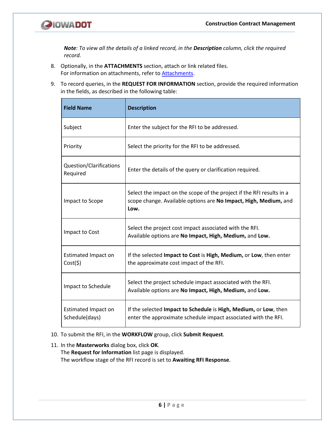

*Note: To view all the details of a linked record, in the Description column, click the required record.*

- 8. Optionally, in the **ATTACHMENTS** section, attach or link related files. For information on attachments, refer to [Attachments.](#page-28-1)
- 9. To record queries, in the **REQUEST FOR INFORMATION** section, provide the required information in the fields, as described in the following table:

| <b>Field Name</b>                     | <b>Description</b>                                                                                                                                |  |  |  |
|---------------------------------------|---------------------------------------------------------------------------------------------------------------------------------------------------|--|--|--|
| Subject                               | Enter the subject for the RFI to be addressed.                                                                                                    |  |  |  |
| Priority                              | Select the priority for the RFI to be addressed.                                                                                                  |  |  |  |
| Question/Clarifications<br>Required   | Enter the details of the query or clarification required.                                                                                         |  |  |  |
| Impact to Scope                       | Select the impact on the scope of the project if the RFI results in a<br>scope change. Available options are No Impact, High, Medium, and<br>Low. |  |  |  |
| Impact to Cost                        | Select the project cost impact associated with the RFI.<br>Available options are No Impact, High, Medium, and Low.                                |  |  |  |
| <b>Estimated Impact on</b><br>Cost(5) | If the selected Impact to Cost is High, Medium, or Low, then enter<br>the approximate cost impact of the RFI.                                     |  |  |  |
| Impact to Schedule                    | Select the project schedule impact associated with the RFI.<br>Available options are No Impact, High, Medium, and Low.                            |  |  |  |
| Estimated Impact on<br>Schedule(days) | If the selected Impact to Schedule is High, Medium, or Low, then<br>enter the approximate schedule impact associated with the RFI.                |  |  |  |

## 10. To submit the RFI, in the **WORKFLOW** group, click **Submit Request**.

11. In the **Masterworks** dialog box, click **OK**. The **Request for Information** list page is displayed. The workflow stage of the RFI record is set to **Awaiting RFI Response**.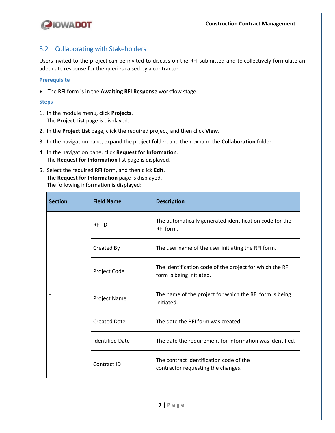

## <span id="page-10-0"></span>3.2 Collaborating with Stakeholders

Users invited to the project can be invited to discuss on the RFI submitted and to collectively formulate an adequate response for the queries raised by a contractor.

#### **Prerequisite**

• The RFI form is in the **Awaiting RFI Response** workflow stage.

- 1. In the module menu, click **Projects**. The **Project List** page is displayed.
- 2. In the **Project List** page, click the required project, and then click **View**.
- 3. In the navigation pane, expand the project folder, and then expand the **Collaboration** folder.
- 4. In the navigation pane, click **Request for Information**. The **Request for Information** list page is displayed.
- 5. Select the required RFI form, and then click **Edit**. The **Request for Information** page is displayed. The following information is displayed:

| <b>Section</b> | <b>Field Name</b>      | <b>Description</b>                                                                   |
|----------------|------------------------|--------------------------------------------------------------------------------------|
|                | <b>RFIID</b>           | The automatically generated identification code for the<br>RFI form.                 |
|                | Created By             | The user name of the user initiating the RFI form.                                   |
|                | Project Code           | The identification code of the project for which the RFI<br>form is being initiated. |
|                | Project Name           | The name of the project for which the RFI form is being<br>initiated.                |
|                | <b>Created Date</b>    | The date the RFI form was created.                                                   |
|                | <b>Identified Date</b> | The date the requirement for information was identified.                             |
|                | Contract ID            | The contract identification code of the<br>contractor requesting the changes.        |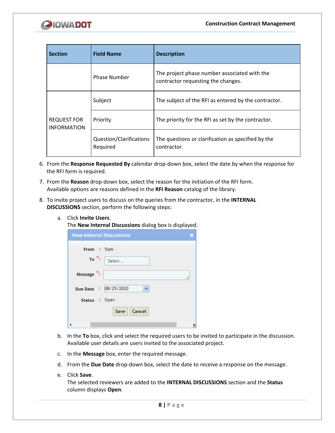

| <b>Field Name</b><br><b>Section</b>      |                                     | <b>Description</b>                                                                 |  |  |
|------------------------------------------|-------------------------------------|------------------------------------------------------------------------------------|--|--|
|                                          | <b>Phase Number</b>                 | The project phase number associated with the<br>contractor requesting the changes. |  |  |
|                                          | Subject                             | The subject of the RFI as entered by the contractor.                               |  |  |
| <b>REQUEST FOR</b><br><b>INFORMATION</b> | Priority                            | The priority for the RFI as set by the contractor.                                 |  |  |
|                                          | Question/Clarifications<br>Required | The questions or clarification as specified by the<br>contractor.                  |  |  |

- 6. From the **Response Requested By** calendar drop-down box, select the date by when the response for the RFI form is required.
- 7. From the **Reason** drop-down box, select the reason for the initiation of the RFI form. Available options are reasons defined in the **RFI Reason** catalog of the library.
- 8. To invite project users to discuss on the queries from the contractor, in the **INTERNAL DISCUSSIONS** section, perform the following steps:
	- a. Click **Invite Users**.

The **New Internal Discussions** dialog box is displayed.

| <b>New Internal Discussions</b> |  |
|---------------------------------|--|
| From : Tom                      |  |
| $To \nightharpoonup$<br>Select  |  |
| Message <sup>*</sup> :          |  |
| Due Date : 08/25/2020           |  |
| Status : Open                   |  |
| Cancel<br>Save                  |  |
|                                 |  |

- b. In the **To** box, click and select the required users to be invited to participate in the discussion. Available user details are users invited to the associated project.
- c. In the **Message** box, enter the required message.
- d. From the **Due Date** drop-down box, select the date to receive a response on the message.
- e. Click **Save**.

The selected reviewers are added to the **INTERNAL DISCUSSIONS** section and the **Status**  column displays **Open**.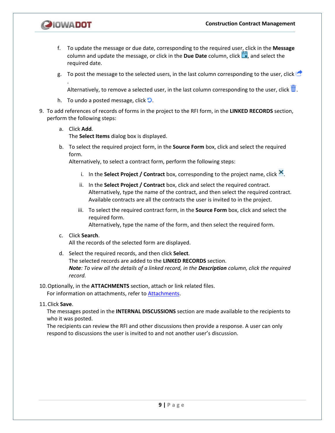

.

- f. To update the message or due date, corresponding to the required user, click in the **Message**  column and update the message, or click in the **Due Date** column, click , and select the required date.
- g. To post the message to the selected users, in the last column corresponding to the user, click  $\blacksquare$

Alternatively, to remove a selected user, in the last column corresponding to the user, click  $\blacksquare$ .

- h. To undo a posted message, click  $\Box$ .
- 9. To add references of records of forms in the project to the RFI form, in the **LINKED RECORDS** section, perform the following steps:
	- a. Click **Add**.

The **Select Items** dialog box is displayed.

b. To select the required project form, in the **Source Form** box, click and select the required form.

Alternatively, to select a contract form, perform the following steps:

- i. In the **Select Project / Contract** box, corresponding to the project name, click **X**.
- ii. In the **Select Project / Contract** box, click and select the required contract. Alternatively, type the name of the contract, and then select the required contract. Available contracts are all the contracts the user is invited to in the project.
- iii. To select the required contract form, in the **Source Form** box, click and select the required form.

Alternatively, type the name of the form, and then select the required form.

c. Click **Search**.

All the records of the selected form are displayed.

d. Select the required records, and then click **Select**. The selected records are added to the **LINKED RECORDS** section. *Note: To view all the details of a linked record, in the Description column, click the required record.*

#### 10.Optionally, in the **ATTACHMENTS** section, attach or link related files. For information on attachments, refer to [Attachments.](#page-28-1)

## 11.Click **Save**.

The messages posted in the **INTERNAL DISCUSSIONS** section are made available to the recipients to who it was posted.

The recipients can review the RFI and other discussions then provide a response. A user can only respond to discussions the user is invited to and not another user's discussion.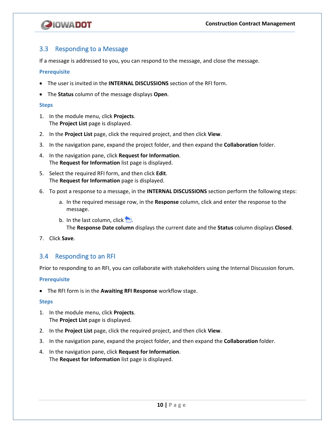

## <span id="page-13-0"></span>3.3 Responding to a Message

If a message is addressed to you, you can respond to the message, and close the message.

#### **Prerequisite**

- The user is invited in the **INTERNAL DISCUSSIONS** section of the RFI form.
- The **Status** column of the message displays **Open**.

#### **Steps**

- 1. In the module menu, click **Projects**. The **Project List** page is displayed.
- 2. In the **Project List** page, click the required project, and then click **View**.
- 3. In the navigation pane, expand the project folder, and then expand the **Collaboration** folder.
- 4. In the navigation pane, click **Request for Information**. The **Request for Information** list page is displayed.
- 5. Select the required RFI form, and then click **Edit**. The **Request for Information** page is displayed.
- 6. To post a response to a message, in the **INTERNAL DISCUSSIONS** section perform the following steps:
	- a. In the required message row, in the **Response** column, click and enter the response to the message.
	- b. In the last column, click  $\Box$ The **Response Date column** displays the current date and the **Status** column displays **Closed**.
- 7. Click **Save**.

## <span id="page-13-1"></span>3.4 Responding to an RFI

Prior to responding to an RFI, you can collaborate with stakeholders using the Internal Discussion forum.

## **Prerequisite**

• The RFI form is in the **Awaiting RFI Response** workflow stage.

- 1. In the module menu, click **Projects**. The **Project List** page is displayed.
- 2. In the **Project List** page, click the required project, and then click **View**.
- 3. In the navigation pane, expand the project folder, and then expand the **Collaboration** folder.
- 4. In the navigation pane, click **Request for Information**. The **Request for Information** list page is displayed.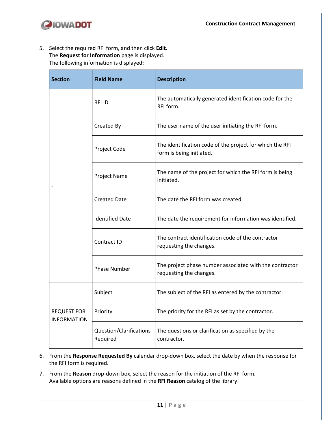

5. Select the required RFI form, and then click **Edit**. The **Request for Information** page is displayed. The following information is displayed:

| <b>Section</b><br><b>Field Name</b>      |                                     | <b>Description</b>                                                                   |  |  |  |
|------------------------------------------|-------------------------------------|--------------------------------------------------------------------------------------|--|--|--|
|                                          | <b>RFIID</b>                        | The automatically generated identification code for the<br>RFI form.                 |  |  |  |
|                                          | Created By                          | The user name of the user initiating the RFI form.                                   |  |  |  |
|                                          | Project Code                        | The identification code of the project for which the RFI<br>form is being initiated. |  |  |  |
|                                          | Project Name                        | The name of the project for which the RFI form is being<br>initiated.                |  |  |  |
|                                          | <b>Created Date</b>                 | The date the RFI form was created.                                                   |  |  |  |
|                                          | <b>Identified Date</b>              | The date the requirement for information was identified.                             |  |  |  |
|                                          | Contract ID                         | The contract identification code of the contractor<br>requesting the changes.        |  |  |  |
|                                          | <b>Phase Number</b>                 | The project phase number associated with the contractor<br>requesting the changes.   |  |  |  |
|                                          | Subject                             | The subject of the RFI as entered by the contractor.                                 |  |  |  |
| <b>REQUEST FOR</b><br><b>INFORMATION</b> | Priority                            | The priority for the RFI as set by the contractor.                                   |  |  |  |
|                                          | Question/Clarifications<br>Required | The questions or clarification as specified by the<br>contractor.                    |  |  |  |

- 6. From the **Response Requested By** calendar drop-down box, select the date by when the response for the RFI form is required.
- 7. From the **Reason** drop-down box, select the reason for the initiation of the RFI form. Available options are reasons defined in the **RFI Reason** catalog of the library.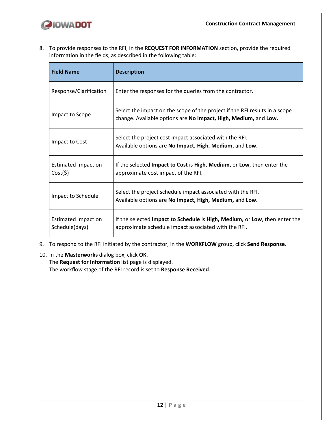

8. To provide responses to the RFI, in the **REQUEST FOR INFORMATION** section, provide the required information in the fields, as described in the following table:

| <b>Field Name</b>                     | <b>Description</b>                                                                                                                             |  |  |  |
|---------------------------------------|------------------------------------------------------------------------------------------------------------------------------------------------|--|--|--|
| Response/Clarification                | Enter the responses for the queries from the contractor.                                                                                       |  |  |  |
| Impact to Scope                       | Select the impact on the scope of the project if the RFI results in a scope<br>change. Available options are No Impact, High, Medium, and Low. |  |  |  |
| Impact to Cost                        | Select the project cost impact associated with the RFI.<br>Available options are No Impact, High, Medium, and Low.                             |  |  |  |
| Estimated Impact on<br>Cost(5)        | If the selected Impact to Cost is High, Medium, or Low, then enter the<br>approximate cost impact of the RFI.                                  |  |  |  |
| Impact to Schedule                    | Select the project schedule impact associated with the RFI.<br>Available options are No Impact, High, Medium, and Low.                         |  |  |  |
| Estimated Impact on<br>Schedule(days) | If the selected Impact to Schedule is High, Medium, or Low, then enter the<br>approximate schedule impact associated with the RFI.             |  |  |  |

- 9. To respond to the RFI initiated by the contractor, in the **WORKFLOW** group, click **Send Response**.
- 10. In the **Masterworks** dialog box, click **OK**.

The **Request for Information** list page is displayed.

The workflow stage of the RFI record is set to **Response Received**.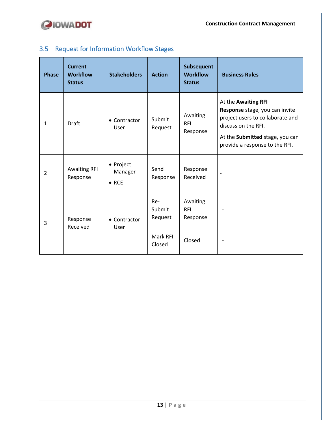

## <span id="page-16-0"></span>3.5 Request for Information Workflow Stages

| <b>Phase</b>   | <b>Current</b><br><b>Workflow</b><br><b>Status</b> | <b>Stakeholders</b>                   | <b>Action</b>            | Subsequent<br><b>Workflow</b><br><b>Status</b> | <b>Business Rules</b>                                                                                                                                                                 |
|----------------|----------------------------------------------------|---------------------------------------|--------------------------|------------------------------------------------|---------------------------------------------------------------------------------------------------------------------------------------------------------------------------------------|
| $\mathbf{1}$   | <b>Draft</b>                                       | • Contractor<br>User                  | Submit<br>Request        | Awaiting<br><b>RFI</b><br>Response             | At the Awaiting RFI<br>Response stage, you can invite<br>project users to collaborate and<br>discuss on the RFI.<br>At the Submitted stage, you can<br>provide a response to the RFI. |
| $\overline{2}$ | <b>Awaiting RFI</b><br>Response                    | • Project<br>Manager<br>$\bullet$ RCE | Send<br>Response         | Response<br>Received                           |                                                                                                                                                                                       |
| 3              | Response<br>Received                               | • Contractor<br>User                  | Re-<br>Submit<br>Request | Awaiting<br><b>RFI</b><br>Response             |                                                                                                                                                                                       |
|                |                                                    |                                       | Mark RFI<br>Closed       | Closed                                         |                                                                                                                                                                                       |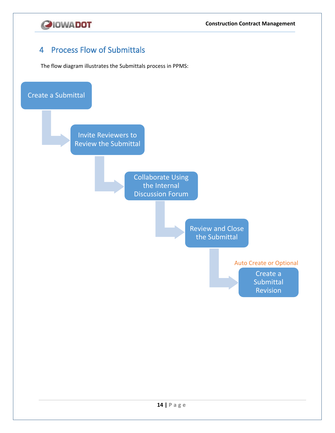

## <span id="page-17-0"></span>4 Process Flow of Submittals

The flow diagram illustrates the Submittals process in PPMS:

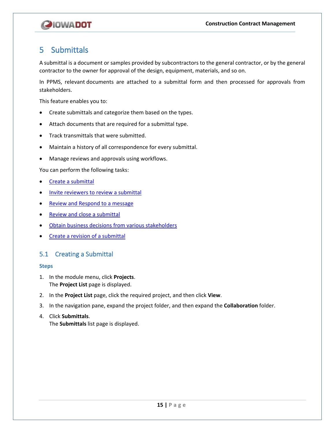

## <span id="page-18-0"></span>5 Submittals

A submittal is a document or samples provided by subcontractors to the general contractor, or by the general contractor to the owner for approval of the design, equipment, materials, and so on.

In PPMS, relevant documents are attached to a submittal form and then processed for approvals from stakeholders.

This feature enables you to:

- Create submittals and categorize them based on the types.
- Attach documents that are required for a submittal type.
- Track transmittals that were submitted.
- Maintain a history of all correspondence for every submittal.
- Manage reviews and approvals using workflows.

You can perform the following tasks:

- [Create a submittal](#page-18-1)
- Invite [reviewers to review a submittal](#page-22-0)
- [Review and Respond to a message](#page-23-0)
- Review and close [a submittal](#page-24-0)
- [Obtain business decisions from various stakeholders](#page-25-0)
- [Create a revision of a submittal](#page-27-0)

## <span id="page-18-1"></span>5.1 Creating a Submittal

- 1. In the module menu, click **Projects**. The **Project List** page is displayed.
- 2. In the **Project List** page, click the required project, and then click **View**.
- 3. In the navigation pane, expand the project folder, and then expand the **Collaboration** folder.
- 4. Click **Submittals**. The **Submittals** list page is displayed.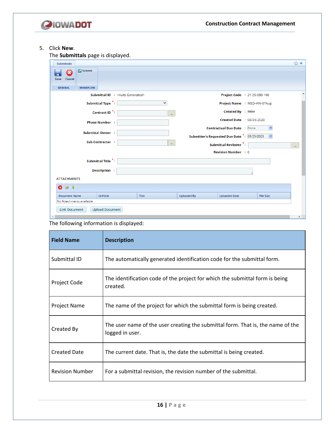

## 5. Click **New**.

The **Submittals** page is displayed.

| <b>Submittals</b>                                                                      |                                  |              |                    |                                              |                  | $\frac{1}{2}$ $\triangle$ |
|----------------------------------------------------------------------------------------|----------------------------------|--------------|--------------------|----------------------------------------------|------------------|---------------------------|
| <b>C</b> Submit<br>$\bm{\Omega}$<br>$\blacksquare$<br>Cancel<br>Save<br><b>GENERAL</b> |                                  |              |                    |                                              |                  |                           |
| <b>WORKFLOW</b>                                                                        | Submittal ID : < Auto Generated> |              |                    |                                              |                  |                           |
|                                                                                        |                                  |              |                    | Project Code : 21-25-080-100                 |                  |                           |
|                                                                                        | Submittal Type *:                | $\checkmark$ |                    | Project Name : MSD-HW-07Aug-                 |                  |                           |
|                                                                                        | Contract ID <sup>*</sup> :       | in a         |                    | Created By : Miller                          |                  |                           |
|                                                                                        | <b>Phase Number :</b>            |              |                    | <b>Created Date : 08/25/2020</b>             |                  |                           |
|                                                                                        |                                  |              |                    | <b>Contractual Due Date : None</b>           | $\checkmark$     |                           |
|                                                                                        | <b>Submittal Owner :</b>         |              |                    | Submitter's Requested Due Date *: 08/25/2020 | $\vee$           |                           |
|                                                                                        | Sub Contractor :                 | $\mathbf{r}$ |                    | Submittal Reviewer *:                        |                  |                           |
|                                                                                        |                                  |              |                    |                                              |                  | m.                        |
|                                                                                        |                                  |              |                    | <b>Revision Number : 0</b>                   |                  |                           |
|                                                                                        | Submittal Title *:               |              |                    |                                              |                  |                           |
|                                                                                        | Description :                    |              |                    |                                              |                  |                           |
| <b>ATTACHMENTS</b>                                                                     |                                  |              |                    |                                              |                  |                           |
| $\bullet$ $\bullet$ $\bullet$                                                          |                                  |              |                    |                                              |                  |                           |
| <b>Document Name</b>                                                                   | Url/Link                         | <b>Title</b> | <b>Uploaded By</b> | <b>Uploaded Date</b>                         | <b>File Size</b> |                           |
| No Attachments available                                                               |                                  |              |                    |                                              |                  |                           |
| <b>Link Document</b>                                                                   | <b>Upload Document</b>           |              |                    |                                              |                  |                           |
|                                                                                        |                                  |              |                    |                                              |                  |                           |

The following information is displayed:

| <b>Field Name</b>      | <b>Description</b>                                                                                 |
|------------------------|----------------------------------------------------------------------------------------------------|
| Submittal ID           | The automatically generated identification code for the submittal form.                            |
| Project Code           | The identification code of the project for which the submittal form is being<br>created.           |
| Project Name           | The name of the project for which the submittal form is being created.                             |
| Created By             | The user name of the user creating the submittal form. That is, the name of the<br>logged in user. |
| <b>Created Date</b>    | The current date. That is, the date the submittal is being created.                                |
| <b>Revision Number</b> | For a submittal revision, the revision number of the submittal.                                    |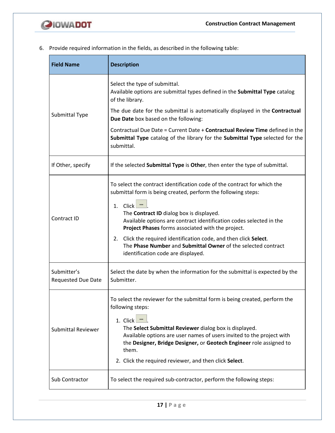

6. Provide required information in the fields, as described in the following table:

| <b>Field Name</b>                        | <b>Description</b>                                                                                                                                                                                                                                                                                                                                                                                                                                                                                             |
|------------------------------------------|----------------------------------------------------------------------------------------------------------------------------------------------------------------------------------------------------------------------------------------------------------------------------------------------------------------------------------------------------------------------------------------------------------------------------------------------------------------------------------------------------------------|
|                                          | Select the type of submittal.<br>Available options are submittal types defined in the Submittal Type catalog<br>of the library.                                                                                                                                                                                                                                                                                                                                                                                |
| Submittal Type                           | The due date for the submittal is automatically displayed in the Contractual<br>Due Date box based on the following:                                                                                                                                                                                                                                                                                                                                                                                           |
|                                          | Contractual Due Date = Current Date + Contractual Review Time defined in the<br>Submittal Type catalog of the library for the Submittal Type selected for the<br>submittal.                                                                                                                                                                                                                                                                                                                                    |
| If Other, specify                        | If the selected Submittal Type is Other, then enter the type of submittal.                                                                                                                                                                                                                                                                                                                                                                                                                                     |
| Contract ID                              | To select the contract identification code of the contract for which the<br>submittal form is being created, perform the following steps:<br>1. $Click$<br>The Contract ID dialog box is displayed.<br>Available options are contract identification codes selected in the<br>Project Phases forms associated with the project.<br>Click the required identification code, and then click Select.<br>2.<br>The Phase Number and Submittal Owner of the selected contract<br>identification code are displayed. |
| Submitter's<br><b>Requested Due Date</b> | Select the date by when the information for the submittal is expected by the<br>Submitter.                                                                                                                                                                                                                                                                                                                                                                                                                     |
| <b>Submittal Reviewer</b>                | To select the reviewer for the submittal form is being created, perform the<br>following steps:<br>1. Click<br>The Select Submittal Reviewer dialog box is displayed.<br>Available options are user names of users invited to the project with<br>the Designer, Bridge Designer, or Geotech Engineer role assigned to<br>them.<br>2. Click the required reviewer, and then click Select.                                                                                                                       |
| Sub Contractor                           | To select the required sub-contractor, perform the following steps:                                                                                                                                                                                                                                                                                                                                                                                                                                            |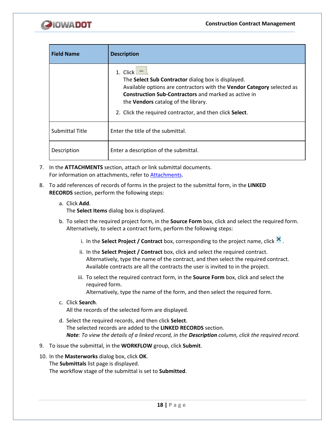

| <b>Field Name</b>      | <b>Description</b>                                                                                                                                                                                                                                                                                                  |
|------------------------|---------------------------------------------------------------------------------------------------------------------------------------------------------------------------------------------------------------------------------------------------------------------------------------------------------------------|
|                        | 1. Click L<br>The Select Sub Contractor dialog box is displayed.<br>Available options are contractors with the Vendor Category selected as<br><b>Construction Sub-Contractors</b> and marked as active in<br>the <b>Vendors</b> catalog of the library.<br>2. Click the required contractor, and then click Select. |
| <b>Submittal Title</b> | Enter the title of the submittal.                                                                                                                                                                                                                                                                                   |
| Description            | Enter a description of the submittal.                                                                                                                                                                                                                                                                               |

- 7. In the **ATTACHMENTS** section, attach or link submittal documents. For information on attachments, refer to [Attachments.](#page-28-1)
- 8. To add references of records of forms in the project to the submittal form, in the **LINKED RECORDS** section, perform the following steps:
	- a. Click **Add**.

The **Select Items** dialog box is displayed.

- b. To select the required project form, in the **Source Form** box, click and select the required form. Alternatively, to select a contract form, perform the following steps:
	- i. In the **Select Project / Contract** box, corresponding to the project name, click  $\mathbf{X}$ .
	- ii. In the **Select Project / Contract** box, click and select the required contract. Alternatively, type the name of the contract, and then select the required contract. Available contracts are all the contracts the user is invited to in the project.
	- iii. To select the required contract form, in the **Source Form** box, click and select the required form.

Alternatively, type the name of the form, and then select the required form.

c. Click **Search**.

All the records of the selected form are displayed.

- d. Select the required records, and then click **Select**. The selected records are added to the **LINKED RECORDS** section. *Note: To view the details of a linked record, in the Description column, click the required record.*
- 9. To issue the submittal, in the **WORKFLOW** group, click **Submit**.
- 10. In the **Masterworks** dialog box, click **OK**.

The **Submittals** list page is displayed.

The workflow stage of the submittal is set to **Submitted**.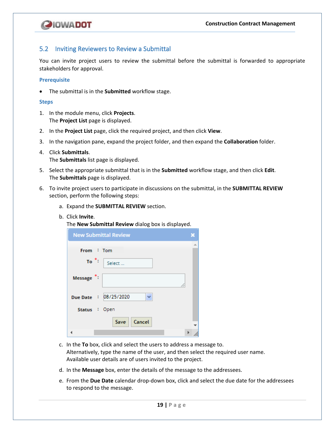

## <span id="page-22-0"></span>5.2 Inviting Reviewers to Review a Submittal

You can invite project users to review the submittal before the submittal is forwarded to appropriate stakeholders for approval.

#### **Prerequisite**

• The submittal is in the **Submitted** workflow stage.

#### **Steps**

- 1. In the module menu, click **Projects**. The **Project List** page is displayed.
- 2. In the **Project List** page, click the required project, and then click **View**.
- 3. In the navigation pane, expand the project folder, and then expand the **Collaboration** folder.
- 4. Click **Submittals**. The **Submittals** list page is displayed.
- 5. Select the appropriate submittal that is in the **Submitted** workflow stage, and then click **Edit**. The **Submittals** page is displayed.
- 6. To invite project users to participate in discussions on the submittal, in the **SUBMITTAL REVIEW** section, perform the following steps:
	- a. Expand the **SUBMITTAL REVIEW** section.
	- b. Click **Invite**.

The **New Submittal Review** dialog box is displayed.

|               | <b>New Submittal Review</b> |  |
|---------------|-----------------------------|--|
| From : Tom    |                             |  |
| $To$ :        | Select                      |  |
| Message :     |                             |  |
|               | Due Date : 08/25/2020       |  |
| Status : Open |                             |  |
|               | Cancel<br>Save              |  |
|               |                             |  |

- c. In the **To** box, click and select the users to address a message to. Alternatively, type the name of the user, and then select the required user name. Available user details are of users invited to the project.
- d. In the **Message** box, enter the details of the message to the addressees.
- e. From the **Due Date** calendar drop-down box, click and select the due date for the addressees to respond to the message.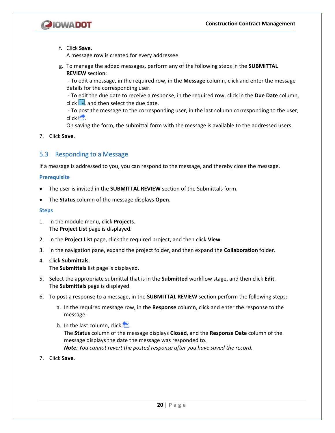

f. Click **Save**.

A message row is created for every addressee.

g. To manage the added messages, perform any of the following steps in the **SUBMITTAL REVIEW** section:

- To edit a message, in the required row, in the **Message** column, click and enter the message details for the corresponding user.

- To edit the due date to receive a response, in the required row, click in the **Due Date** column, click  $\Box$ , and then select the due date.

- To post the message to the corresponding user, in the last column corresponding to the user,  $click$ .

On saving the form, the submittal form with the message is available to the addressed users.

7. Click **Save**.

## <span id="page-23-0"></span>5.3 Responding to a Message

If a message is addressed to you, you can respond to the message, and thereby close the message.

#### **Prerequisite**

- The user is invited in the **SUBMITTAL REVIEW** section of the Submittals form.
- The **Status** column of the message displays **Open**.

## **Steps**

- 1. In the module menu, click **Projects**. The **Project List** page is displayed.
- 2. In the **Project List** page, click the required project, and then click **View**.
- 3. In the navigation pane, expand the project folder, and then expand the **Collaboration** folder.
- 4. Click **Submittals**. The **Submittals** list page is displayed.
- 5. Select the appropriate submittal that is in the **Submitted** workflow stage, and then click **Edit**. The **Submittals** page is displayed.
- 6. To post a response to a message, in the **SUBMITTAL REVIEW** section perform the following steps:
	- a. In the required message row, in the **Response** column, click and enter the response to the message.
	- b. In the last column, click  $\Box$ 
		- The **Status** column of the message displays **Closed**, and the **Response Date** column of the message displays the date the message was responded to.

*Note: You cannot revert the posted response after you have saved the record.*

7. Click **Save**.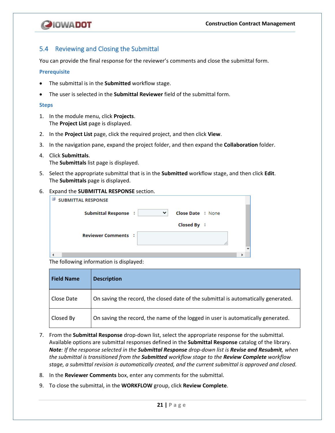

## <span id="page-24-0"></span>5.4 Reviewing and Closing the Submittal

You can provide the final response for the reviewer's comments and close the submittal form.

#### **Prerequisite**

- The submittal is in the **Submitted** workflow stage.
- The user is selected in the **Submittal Reviewer** field of the submittal form.

#### **Steps**

- 1. In the module menu, click **Projects**. The **Project List** page is displayed.
- 2. In the **Project List** page, click the required project, and then click **View**.
- 3. In the navigation pane, expand the project folder, and then expand the **Collaboration** folder.
- 4. Click **Submittals**. The **Submittals** list page is displayed.
- 5. Select the appropriate submittal that is in the **Submitted** workflow stage, and then click **Edit**. The **Submittals** page is displayed.
- 6. Expand the **SUBMITTAL RESPONSE** section.

| $\equiv$<br><b>SUBMITTAL RESPONSE</b> |   |                          |  |  |
|---------------------------------------|---|--------------------------|--|--|
| Submittal Response :                  | ◡ | <b>Close Date : None</b> |  |  |
|                                       |   | Closed By :              |  |  |
| <b>Reviewer Comments :</b>            |   |                          |  |  |
|                                       |   |                          |  |  |
|                                       |   |                          |  |  |
| – сп. с. с. н. н.                     |   |                          |  |  |

The following information is displayed:

| <b>Field Name</b> | <b>Description</b>                                                                 |
|-------------------|------------------------------------------------------------------------------------|
| Close Date        | On saving the record, the closed date of the submittal is automatically generated. |
| Closed By         | On saving the record, the name of the logged in user is automatically generated.   |

- 7. From the **Submittal Response** drop-down list, select the appropriate response for the submittal. Available options are submittal responses defined in the **Submittal Response** catalog of the library. *Note: If the response selected in the Submittal Response drop-down list is Revise and Resubmit, when the submittal is transitioned from the Submitted workflow stage to the Review Complete workflow stage, a submittal revision is automatically created, and the current submittal is approved and closed.*
- 8. In the **Reviewer Comments** box, enter any comments for the submittal.
- 9. To close the submittal, in the **WORKFLOW** group, click **Review Complete**.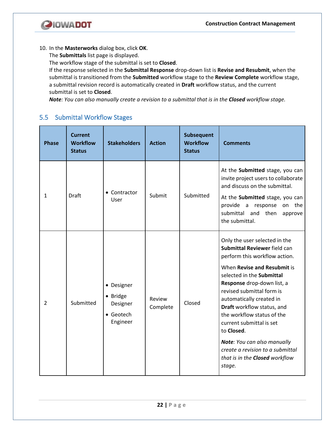

10. In the **Masterworks** dialog box, click **OK**.

The **Submittals** list page is displayed.

The workflow stage of the submittal is set to **Closed**.

If the response selected in the **Submittal Response** drop-down list is **Revise and Resubmit**, when the submittal is transitioned from the **Submitted** workflow stage to the **Review Complete** workflow stage, a submittal revision record is automatically created in **Draft** workflow status, and the current submittal is set to **Closed**.

*Note: You can also manually create a revision to a submittal that is in the Closed workflow stage.*

## <span id="page-25-0"></span>5.5 Submittal Workflow Stages

| <b>Phase</b>   | <b>Current</b><br><b>Workflow</b><br><b>Status</b> | <b>Stakeholders</b>                                         | <b>Action</b>      | <b>Subsequent</b><br><b>Workflow</b><br><b>Status</b> | <b>Comments</b>                                                                                                                                                                                                                                                                                                                                                                                                                                                        |
|----------------|----------------------------------------------------|-------------------------------------------------------------|--------------------|-------------------------------------------------------|------------------------------------------------------------------------------------------------------------------------------------------------------------------------------------------------------------------------------------------------------------------------------------------------------------------------------------------------------------------------------------------------------------------------------------------------------------------------|
| $\mathbf{1}$   | Draft                                              | • Contractor<br>User                                        | Submit             | Submitted                                             | At the Submitted stage, you can<br>invite project users to collaborate<br>and discuss on the submittal.<br>At the Submitted stage, you can<br>provide a response on the<br>submittal and then<br>approve<br>the submittal.                                                                                                                                                                                                                                             |
| $\overline{2}$ | Submitted                                          | • Designer<br>• Bridge<br>Designer<br>• Geotech<br>Engineer | Review<br>Complete | Closed                                                | Only the user selected in the<br>Submittal Reviewer field can<br>perform this workflow action.<br>When Revise and Resubmit is<br>selected in the Submittal<br>Response drop-down list, a<br>revised submittal form is<br>automatically created in<br>Draft workflow status, and<br>the workflow status of the<br>current submittal is set<br>to Closed.<br>Note: You can also manually<br>create a revision to a submittal<br>that is in the Closed workflow<br>stage. |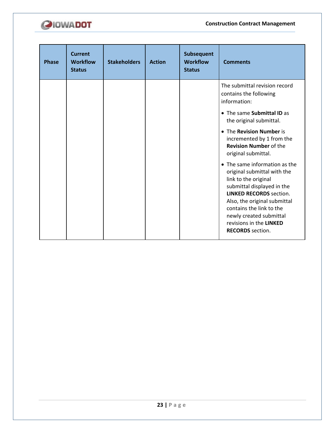

| <b>Phase</b> | <b>Current</b><br><b>Workflow</b><br><b>Status</b> | <b>Stakeholders</b> | <b>Action</b> | Subsequent<br><b>Workflow</b><br><b>Status</b> | <b>Comments</b>                                                                                                                                                                                                                                                                                   |
|--------------|----------------------------------------------------|---------------------|---------------|------------------------------------------------|---------------------------------------------------------------------------------------------------------------------------------------------------------------------------------------------------------------------------------------------------------------------------------------------------|
|              |                                                    |                     |               |                                                | The submittal revision record<br>contains the following<br>information:                                                                                                                                                                                                                           |
|              |                                                    |                     |               |                                                | • The same Submittal ID as<br>the original submittal.                                                                                                                                                                                                                                             |
|              |                                                    |                     |               |                                                | • The Revision Number is<br>incremented by 1 from the<br><b>Revision Number of the</b><br>original submittal.                                                                                                                                                                                     |
|              |                                                    |                     |               |                                                | • The same information as the<br>original submittal with the<br>link to the original<br>submittal displayed in the<br><b>LINKED RECORDS section.</b><br>Also, the original submittal<br>contains the link to the<br>newly created submittal<br>revisions in the LINKED<br><b>RECORDS</b> section. |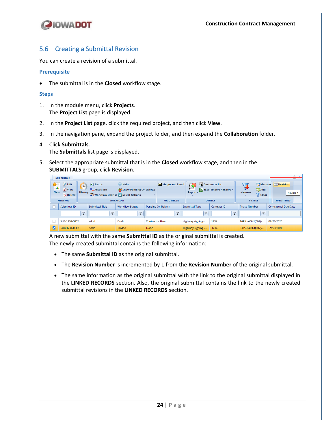

## <span id="page-27-0"></span>5.6 Creating a Submittal Revision

You can create a revision of a submittal.

#### **Prerequisite**

• The submittal is in the **Closed** workflow stage.

#### **Steps**

- 1. In the module menu, click **Projects**. The **Project List** page is displayed.
- 2. In the **Project List** page, click the required project, and then click **View**.
- 3. In the navigation pane, expand the project folder, and then expand the **Collaboration** folder.

## 4. Click **Submittals**.

The **Submittals** list page is displayed.

5. Select the appropriate submittal that is in the **Closed** workflow stage, and then in the **SUBMITTALS** group, click **Revision**.

|                                                                                                                                                                                                                                                   | <b>Submittals</b>                      |                 |                        |                                                                                              |   |                |                       |                                        |                      | <b>LAT</b>               | $-1$                        |  |
|---------------------------------------------------------------------------------------------------------------------------------------------------------------------------------------------------------------------------------------------------|----------------------------------------|-----------------|------------------------|----------------------------------------------------------------------------------------------|---|----------------|-----------------------|----------------------------------------|----------------------|--------------------------|-----------------------------|--|
| ₩≣<br>※ Edit<br><b>B</b> Help<br>$\blacksquare$ Status<br>۰<br><u>n h</u><br><b>B</b> Associate<br><b>2</b> View<br><b>AS</b> Show Pending On User(s)<br><b>New</b><br><b>History</b><br>22 Workflow User(s) & Select Actions<br><b>Sc</b> Delete |                                        |                 | Merge and Email        | <b>K</b> Customize List<br>÷<br>$\sim$<br><b>X</b> Excel Import / Export -<br><b>Reports</b> |   |                | Ļ,<br>--None--        | Manage<br><b>Add</b><br><b>√</b> Clear | Revision<br>Revision |                          |                             |  |
| <b>GENERAL</b>                                                                                                                                                                                                                                    |                                        | <b>WORKFLOW</b> |                        | <b>MAIL MERGE</b><br><b>OTHERS</b>                                                           |   | <b>FILTERS</b> |                       | <b>SUBMITTALS</b>                      |                      |                          |                             |  |
|                                                                                                                                                                                                                                                   | Submittal ID<br><b>Submittal Title</b> |                 | <b>Workflow Status</b> | Pending On Role(s)                                                                           |   |                | <b>Submittal Type</b> | <b>Contract ID</b>                     | <b>Phase Number</b>  |                          | <b>Contractual Due Date</b> |  |
|                                                                                                                                                                                                                                                   | Y                                      | $\mathbf{Y}$    | $\sqrt{2}$             |                                                                                              | Y |                | Y                     | Y                                      |                      | $\overline{\phantom{a}}$ |                             |  |
|                                                                                                                                                                                                                                                   | SUB-1234-0002                          | sddd            | Draft                  | <b>Contractor User</b>                                                                       |   |                | Highway signing -     | 1234                                   | TAP-U-400-1(002)-    |                          | 09/23/2020                  |  |
| ⋁                                                                                                                                                                                                                                                 | SUB-1234-0002                          | sddd            | Closed                 | <b>None</b>                                                                                  |   |                | Highway signing -     | 1234                                   | TAP-U-400-1(002)-    |                          | 09/23/2020                  |  |

A new submittal with the same **Submittal ID** as the original submittal is created. The newly created submittal contains the following information:

- The same **Submittal ID** as the original submittal.
- The **Revision Number** is incremented by 1 from the **Revision Number** of the original submittal.
- The same information as the original submittal with the link to the original submittal displayed in the **LINKED RECORDS** section. Also, the original submittal contains the link to the newly created submittal revisions in the **LINKED RECORDS** section.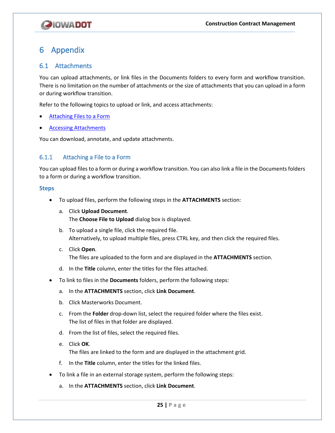# **QIOWADOT**

## <span id="page-28-0"></span>6 Appendix

## <span id="page-28-1"></span>6.1 Attachments

You can upload attachments, or link files in the Documents folders to every form and workflow transition. There is no limitation on the number of attachments or the size of attachments that you can upload in a form or during workflow transition.

Refer to the following topics to upload or link, and access attachments:

- [Attaching Files to a Form](#page-28-2)
- [Accessing Attachments](#page-29-0)

You can download, annotate, and update attachments.

## <span id="page-28-2"></span>6.1.1 Attaching a File to a Form

You can upload files to a form or during a workflow transition. You can also link a file in the Documents folders to a form or during a workflow transition.

- To upload files, perform the following steps in the **ATTACHMENTS** section:
	- a. Click **Upload Document**. The **Choose File to Upload** dialog box is displayed.
	- b. To upload a single file, click the required file. Alternatively, to upload multiple files, press CTRL key, and then click the required files.
	- c. Click **Open**. The files are uploaded to the form and are displayed in the **ATTACHMENTS** section.
	- d. In the **Title** column, enter the titles for the files attached.
- To link to files in the **Documents** folders, perform the following steps:
	- a. In the **ATTACHMENTS** section, click **Link Document**.
	- b. Click Masterworks Document.
	- c. From the **Folder** drop-down list, select the required folder where the files exist. The list of files in that folder are displayed.
	- d. From the list of files, select the required files.
	- e. Click **OK**. The files are linked to the form and are displayed in the attachment grid.
	- f. In the **Title** column, enter the titles for the linked files.
- To link a file in an external storage system, perform the following steps:
	- a. In the **ATTACHMENTS** section, click **Link Document**.